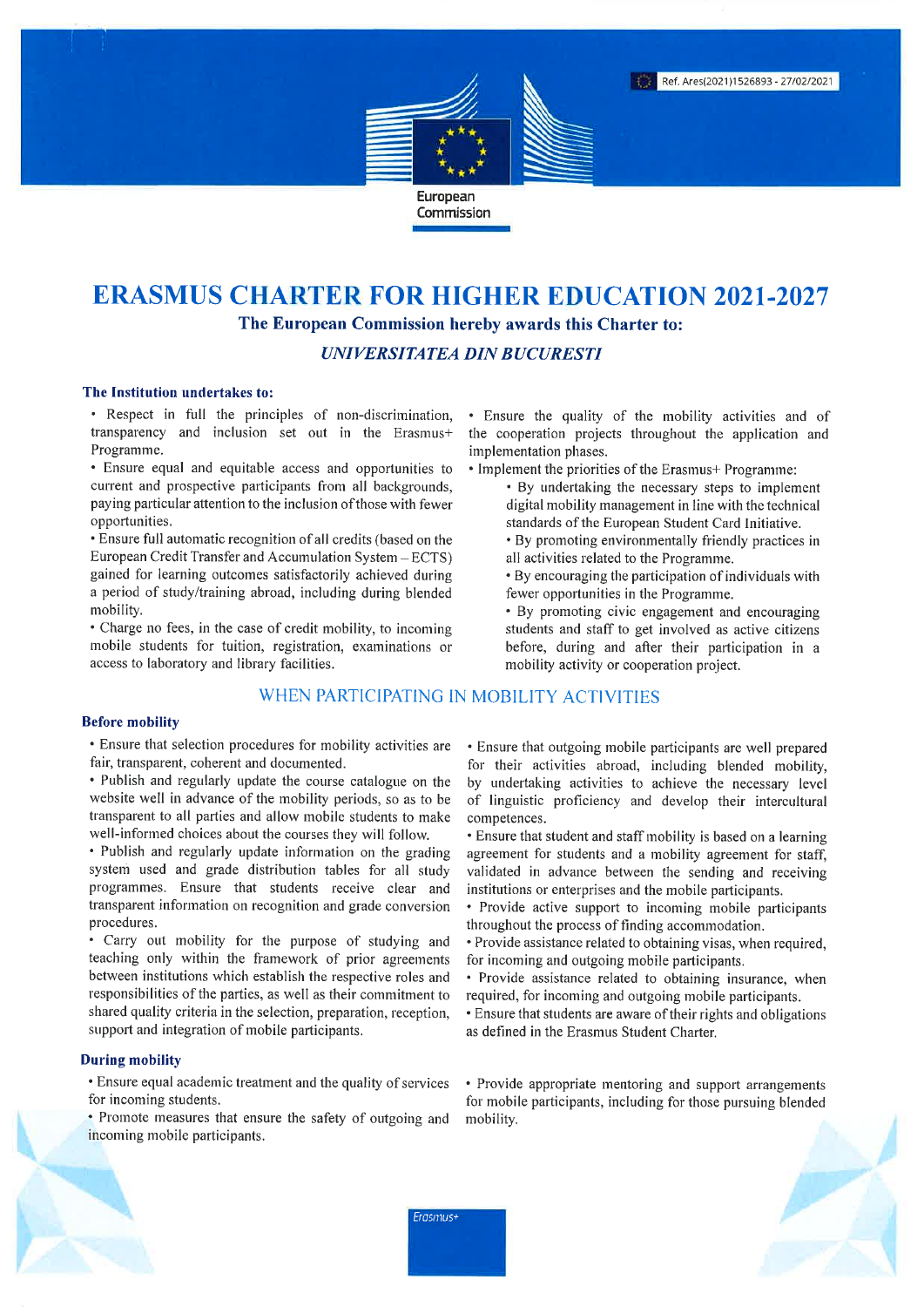

## **ERASMUS CHARTER FOR HIGHER EDUCATION 2021-2027** The European Commission hereby awards this Charter to:

**UNIVERSITATEA DIN BUCURESTI** 

#### The Institution undertakes to:

· Respect in full the principles of non-discrimination, transparency and inclusion set out in the Erasmus+ Programme.

• Ensure equal and equitable access and opportunities to current and prospective participants from all backgrounds, paying particular attention to the inclusion of those with fewer opportunities.

• Ensure full automatic recognition of all credits (based on the European Credit Transfer and Accumulation System - ECTS) gained for learning outcomes satisfactorily achieved during a period of study/training abroad, including during blended mobility.

• Charge no fees, in the case of credit mobility, to incoming mobile students for tuition, registration, examinations or access to laboratory and library facilities.

#### WHEN PARTICIPATING IN MOBILITY ACTIVITIES

#### **Before mobility**

• Ensure that selection procedures for mobility activities are fair, transparent, coherent and documented.

- Publish and regularly update the course catalogue on the website well in advance of the mobility periods, so as to be transparent to all parties and allow mobile students to make well-informed choices about the courses they will follow.
- Publish and regularly update information on the grading system used and grade distribution tables for all study programmes. Ensure that students receive clear and transparent information on recognition and grade conversion procedures.

Carry out mobility for the purpose of studying and teaching only within the framework of prior agreements between institutions which establish the respective roles and responsibilities of the parties, as well as their commitment to shared quality criteria in the selection, preparation, reception, support and integration of mobile participants.

#### **During mobility**

- Ensure equal academic treatment and the quality of services for incoming students.
- Promote measures that ensure the safety of outgoing and incoming mobile participants.

· Ensure the quality of the mobility activities and of the cooperation projects throughout the application and implementation phases.

- Implement the priorities of the Erasmus+ Programme:
	- By undertaking the necessary steps to implement digital mobility management in line with the technical standards of the European Student Card Initiative.
	- By promoting environmentally friendly practices in all activities related to the Programme.
	- By encouraging the participation of individuals with fewer opportunities in the Programme.
	- By promoting civic engagement and encouraging students and staff to get involved as active citizens before, during and after their participation in a mobility activity or cooperation project.

• Ensure that outgoing mobile participants are well prepared for their activities abroad, including blended mobility, by undertaking activities to achieve the necessary level of linguistic proficiency and develop their intercultural competences.

• Ensure that student and staff mobility is based on a learning agreement for students and a mobility agreement for staff, validated in advance between the sending and receiving institutions or enterprises and the mobile participants.

- Provide active support to incoming mobile participants throughout the process of finding accommodation.
- Provide assistance related to obtaining visas, when required, for incoming and outgoing mobile participants.
- Provide assistance related to obtaining insurance, when required, for incoming and outgoing mobile participants.
- Ensure that students are aware of their rights and obligations as defined in the Erasmus Student Charter.

• Provide appropriate mentoring and support arrangements for mobile participants, including for those pursuing blended mobility.



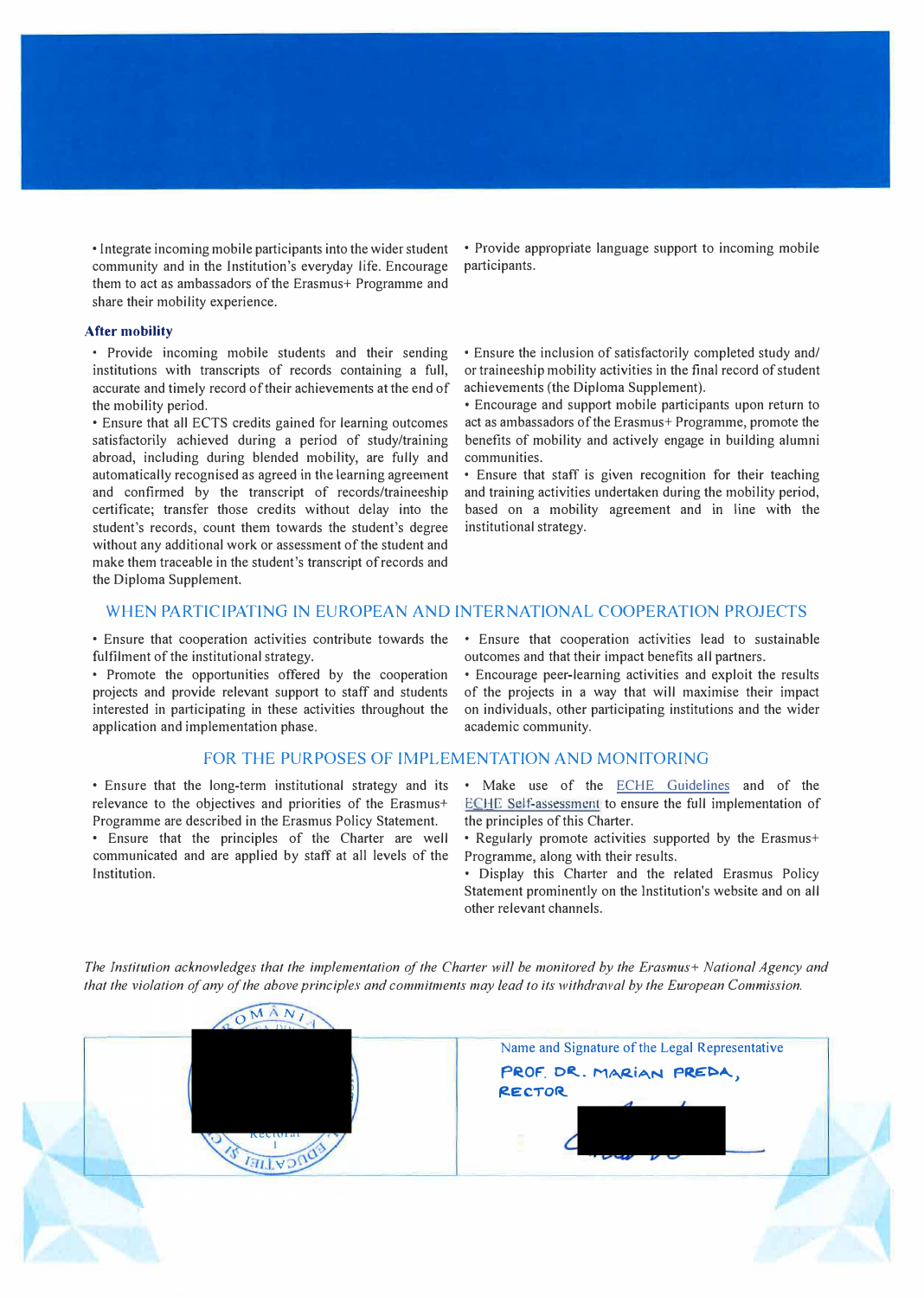• Integrate incoming mobile participants into the wider student community and in the Institution's everyday life. Encourage them to act as ambassadors of the Erasmus+ Programme and share their mobility experience.

#### **After mobility**

• Provide incoming mobile students and their sending institutions with transcripts of records containing a full, accurate and timely record of their achievements at the end of the mobility period.

• Ensure that all ECTS credits gained for learning outcomes satisfactorily achieved during a period of study/training abroad, including during blended mobility, are fully and automatically recognised as agreed in the learning agreement and confirmed by the transcript of records/traineeship certificate; transfer those credits without delay into the student's records, count them towards the student's degree without any additional work or assessment of the student and make them traceable in the student's transcript of records and the Diploma Supplement.

• Provide appropriate language support to incoming mobile participants.

• Ensure the inclusion of satisfactorily completed study and/ or traineeship mobility activities in the final record of student achievements (the Diploma Supplement).

• Encourage and support mobile participants upon return to act as ambassadors of the Erasmus+ Programme, promote the benefits of mobility and actively engage in building alumni communities.

• Ensure that staff is given recognition for their teaching and training activities undertaken during the mobility period, based on a mobility agreement and in line with the institutional strategy.

#### WHEN PARTICIPATING IN EUROPEAN AND INTERNATIONAL COOPERATION PROJECTS

• Ensure that cooperation activities contribute towards the fulfilment of the institutional strategy.

• Promote the opportunities offered by the cooperation projects and provide relevant support to staff and students interested in participating in these activities throughout the application and implementation phase.

#### FOR THE PURPOSES OF IMPLEMENTATION AND MONITORING

• Ensure that the long-term institutional strategy and its relevance to the objectives and priorities of the Erasmus+ Programme are described in the Erasmus Policy Statement.

• Ensure that the principles of the Charter are well communicated and are applied by staff at all levels of the Institution.

• Ensure that cooperation activities lead to sustainable outcomes and that their impact benefits all partners.

• Encourage peer-learning activities and exploit the results of the projects in a way that will maximise their impact on individuals, other participating institutions and the wider academic community.

Make use of the ECHE Guidelines and of the ECHE Self-assessment to ensure the full implementation of the principles of this Charter.

• Regularly promote activities supported by the Erasmus+ Programme, along with their results.

• Display this Charter and the related Erasmus Policy Statement prominently on the Institution's website and on all other relevant channels.



*The Institution acknowledges that the implementation of the Charter will be monitored by the Erasmus+ National Agency and that the violation of any of the above principles and commitments may lead to its withdrawal by the European Commission.*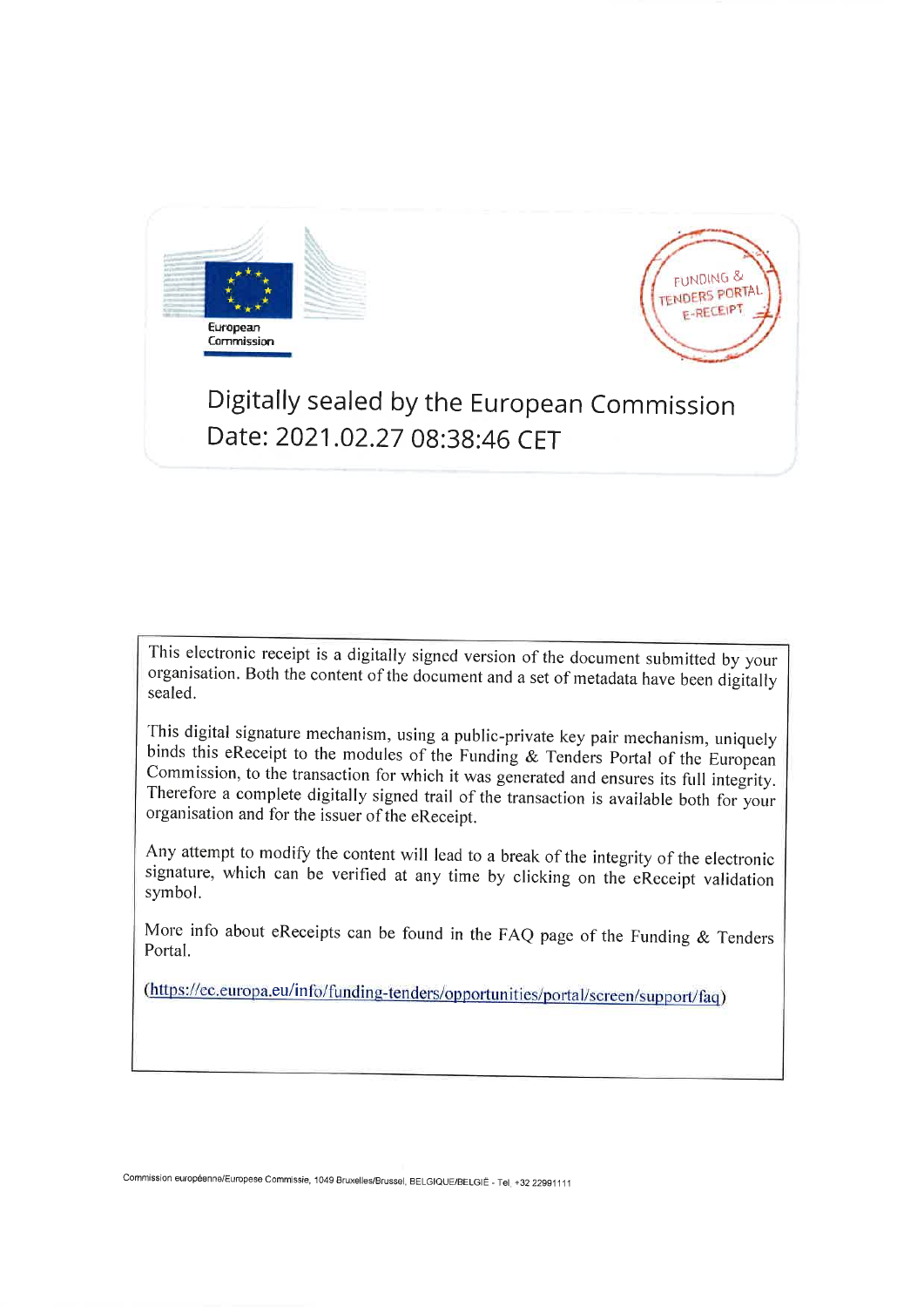



## Digitally sealed by the European Commission Date: 2021.02.27 08:38:46 CET

This electronic receipt is a digitally signed version of the document submitted by your organisation. Both the content of the document and a set of metadata have been digitally sealed.

This digital signature mechanism, using a public-private key pair mechanism, uniquely binds this eReceipt to the modules of the Funding & Tenders Portal of the European Commission, to the transaction for which it was generated and ensures its full integrity. Therefore a complete digitally signed trail of the transaction is available both for your organisation and for the issuer of the eReceipt.

Any attempt to modify the content will lead to a break of the integrity of the electronic signature, which can be verified at any time by clicking on the eReceipt validation symbol.

More info about eReceipts can be found in the FAQ page of the Funding & Tenders Portal.

(https://ec.europa.eu/info/funding-tenders/opportunities/portal/screen/support/faq)

Commission européenne/Europese Commissie, 1049 Bruxelles/Brussel, BELGIQUE/BELGIË - Tel +32 22991111